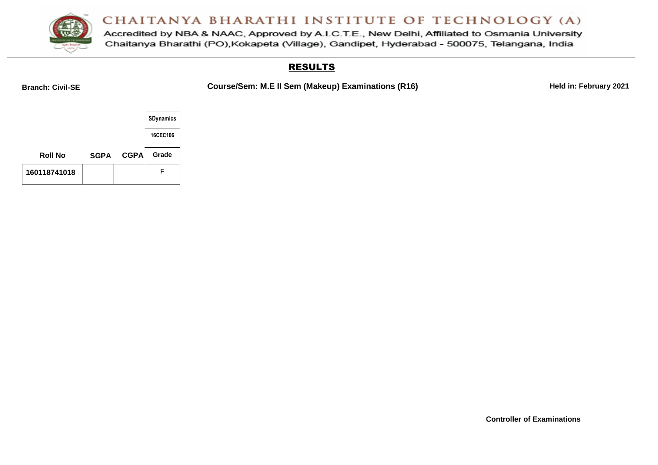

Accredited by NBA & NAAC, Approved by A.I.C.T.E., New Delhi, Affiliated to Osmania University Chaitanya Bharathi (PO), Kokapeta (Village), Gandipet, Hyderabad - 500075, Telangana, India

#### RESULTS

Branch: Civil-SE **COURICE COURSE/Sem: M.E II Sem (Makeup) Examinations (R16) Held in: February 2021** 

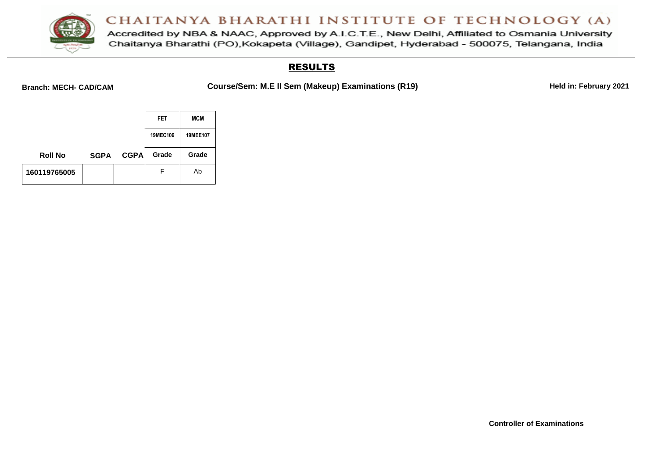

Accredited by NBA & NAAC, Approved by A.I.C.T.E., New Delhi, Affiliated to Osmania University Chaitanya Bharathi (PO), Kokapeta (Village), Gandipet, Hyderabad - 500075, Telangana, India

#### RESULTS

Branch: MECH- CAD/CAM **Course/Sem: M.E II Sem (Makeup) Examinations (R19) Held in: February 2021** 

|                |             |             | FET      | <b>MCM</b>      |
|----------------|-------------|-------------|----------|-----------------|
|                |             |             | 19MEC106 | <b>19MEE107</b> |
| <b>Roll No</b> | <b>SGPA</b> | <b>CGPA</b> | Grade    | Grade           |
| 160119765005   |             |             | F        | Ab              |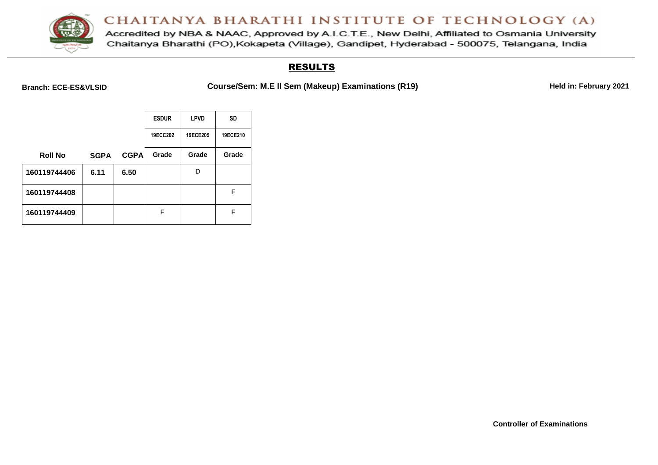

Accredited by NBA & NAAC, Approved by A.I.C.T.E., New Delhi, Affiliated to Osmania University Chaitanya Bharathi (PO), Kokapeta (Village), Gandipet, Hyderabad - 500075, Telangana, India

### RESULTS

Branch: ECE-ES&VLSID **Course/Sem: M.E II Sem (Makeup) Examinations (R19) Held in: February 2021** 

|                |             |             | <b>ESDUR</b> | <b>LPVD</b> | <b>SD</b> |
|----------------|-------------|-------------|--------------|-------------|-----------|
|                |             |             | 19ECC202     | 19ECE205    | 19ECE210  |
| <b>Roll No</b> | <b>SGPA</b> | <b>CGPA</b> | Grade        | Grade       | Grade     |
| 160119744406   | 6.11        | 6.50        |              | D           |           |
| 160119744408   |             |             |              |             | F         |
| 160119744409   |             |             | F            |             | F         |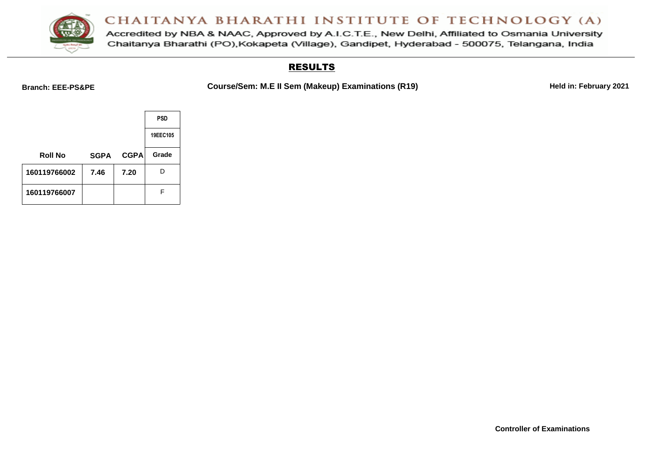

Accredited by NBA & NAAC, Approved by A.I.C.T.E., New Delhi, Affiliated to Osmania University Chaitanya Bharathi (PO), Kokapeta (Village), Gandipet, Hyderabad - 500075, Telangana, India

#### RESULTS

Branch: EEE-PS&PE **Course/Sem: M.E II Sem (Makeup) Examinations (R19) Held in: February 2021** 

|                |             |             | <b>PSD</b> |
|----------------|-------------|-------------|------------|
|                |             |             | 19EEC105   |
| <b>Roll No</b> | <b>SGPA</b> | <b>CGPA</b> | Grade      |
| 160119766002   | 7.46        | 7.20        | D          |
| 160119766007   |             |             | F          |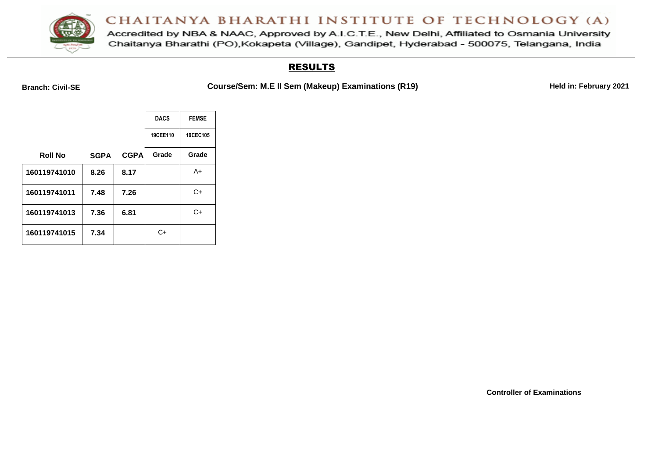

Accredited by NBA & NAAC, Approved by A.I.C.T.E., New Delhi, Affiliated to Osmania University Chaitanya Bharathi (PO), Kokapeta (Village), Gandipet, Hyderabad - 500075, Telangana, India

#### RESULTS

Branch: Civil-SE **COURICE COURSE/Sem: M.E II Sem (Makeup) Examinations (R19) Held in: February 2021** 

|                |             |             | <b>DACS</b> | <b>FEMSE</b> |
|----------------|-------------|-------------|-------------|--------------|
|                |             |             | 19CEE110    | 19CEC105     |
| <b>Roll No</b> | <b>SGPA</b> | <b>CGPA</b> | Grade       | Grade        |
| 160119741010   | 8.26        | 8.17        |             | A+           |
| 160119741011   | 7.48        | 7.26        |             | C+           |
| 160119741013   | 7.36        | 6.81        |             | $C+$         |
| 160119741015   | 7.34        |             | C+          |              |

**Controller of Examinations**